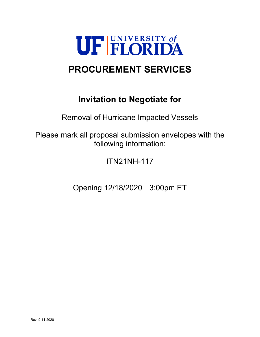

# **PROCUREMENT SERVICES**

# **Invitation to Negotiate for**

Removal of Hurricane Impacted Vessels

Please mark all proposal submission envelopes with the following information:

ITN21NH-117

Opening 12/18/2020 3:00pm ET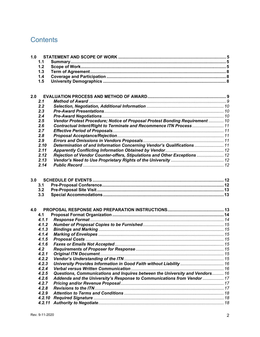# **Contents**

| 1.0 |        |                                                                              |  |
|-----|--------|------------------------------------------------------------------------------|--|
|     | 1.1    |                                                                              |  |
|     | 1.2    |                                                                              |  |
|     | 1.3    |                                                                              |  |
|     | 1.4    |                                                                              |  |
|     | 1.5    |                                                                              |  |
|     |        |                                                                              |  |
| 2.0 |        |                                                                              |  |
|     | 2.1    |                                                                              |  |
|     | 2.2    |                                                                              |  |
|     | 2.3    |                                                                              |  |
|     | 2.4    |                                                                              |  |
|     | 2.5    | Vendor Protest Procedure; Notice of Proposal Protest Bonding Requirement  10 |  |
|     | 2.6    | Contractual Intent/Right to Terminate and Recommence ITN Process 11          |  |
|     | 2.7    |                                                                              |  |
|     | 2.8    |                                                                              |  |
|     | 2.9    |                                                                              |  |
|     | 2.10   | Determination of and Information Concerning Vendor's Qualifications  11      |  |
|     | 2.11   |                                                                              |  |
|     | 2.12   | Rejection of Vendor Counter-offers, Stipulations and Other Exceptions  12    |  |
|     | 2.13   |                                                                              |  |
|     | 2.14   |                                                                              |  |
| 3.0 |        |                                                                              |  |
|     | 3.1    |                                                                              |  |
|     | 3.2    |                                                                              |  |
|     | 3.3    |                                                                              |  |
|     |        |                                                                              |  |
| 4.0 |        |                                                                              |  |
|     | 4.1    |                                                                              |  |
|     | 4.1.1  |                                                                              |  |
|     | 4.1.2  |                                                                              |  |
|     | 4.1.3  |                                                                              |  |
|     | 4.1.4  |                                                                              |  |
|     | 4.1.5  |                                                                              |  |
|     | 4.1.6  |                                                                              |  |
|     | 4.2    |                                                                              |  |
|     | 4.2.1  |                                                                              |  |
|     | 4.2.2  |                                                                              |  |
|     | 4.2.3  |                                                                              |  |
|     | 4.2.4  |                                                                              |  |
|     | 4.2.5  | Questions, Communications and Inquires between the University and Vendors 16 |  |
|     | 4.2.6  | Addenda and the University's Response to Communications from Vendor  17      |  |
|     | 4.2.7  |                                                                              |  |
|     | 4.2.8  |                                                                              |  |
|     | 4.2.9  |                                                                              |  |
|     | 4.2.10 |                                                                              |  |
|     | 4.2.11 |                                                                              |  |
|     |        |                                                                              |  |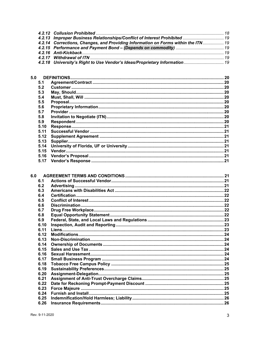| 4.2.13 Improper Business Relationships/Conflict of Interest Prohibited  19        |  |
|-----------------------------------------------------------------------------------|--|
| 4.2.14 Corrections, Changes, and Providing Information on Forms within the ITN 19 |  |
|                                                                                   |  |
|                                                                                   |  |
|                                                                                   |  |
|                                                                                   |  |
|                                                                                   |  |

| 5.0  |  |
|------|--|
| 5.1  |  |
| 5.2  |  |
| 5.3  |  |
| 5.4  |  |
| 5.5  |  |
| 5.6  |  |
| 5.7  |  |
| 5.8  |  |
| 5.9  |  |
| 5.10 |  |
| 5.11 |  |
| 5.12 |  |
| 5.13 |  |
| 5.14 |  |
| 5.15 |  |
| 5.16 |  |
| 5.17 |  |

| 6.1  |  |
|------|--|
| 6.2  |  |
| 6.3  |  |
| 6.4  |  |
| 6.5  |  |
| 6.6  |  |
| 6.7  |  |
| 6.8  |  |
| 6.9  |  |
| 6.10 |  |
| 6.11 |  |
| 6.12 |  |
| 6.13 |  |
| 6.14 |  |
| 6.15 |  |
| 6.16 |  |
| 6.17 |  |
| 6.18 |  |
| 6.19 |  |
| 6.20 |  |
| 6.21 |  |
| 6.22 |  |
| 6.23 |  |
| 6.24 |  |
| 6.25 |  |
| 6.26 |  |
|      |  |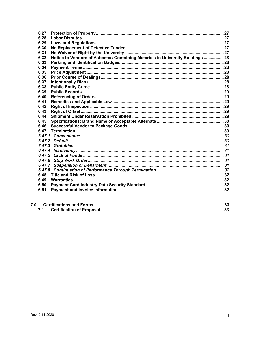| 6.27   |                                                                                |  |
|--------|--------------------------------------------------------------------------------|--|
| 6.28   |                                                                                |  |
| 6.29   |                                                                                |  |
| 6.30   |                                                                                |  |
| 6.31   |                                                                                |  |
| 6.32   | Notice to Vendors of Asbestos-Containing Materials in University Buildings  28 |  |
| 6.33   |                                                                                |  |
| 6.34   |                                                                                |  |
| 6.35   |                                                                                |  |
| 6.36   |                                                                                |  |
| 6.37   |                                                                                |  |
| 6.38   |                                                                                |  |
| 6.39   |                                                                                |  |
| 6.40   |                                                                                |  |
| 6.41   |                                                                                |  |
| 6.42   |                                                                                |  |
| 6.43   |                                                                                |  |
| 6.44   |                                                                                |  |
| 6.45   |                                                                                |  |
| 6.46   |                                                                                |  |
| 6.47   |                                                                                |  |
|        |                                                                                |  |
|        |                                                                                |  |
|        |                                                                                |  |
| 6.47.4 |                                                                                |  |
| 6.47.5 |                                                                                |  |
|        |                                                                                |  |
|        |                                                                                |  |
| 6.47.8 |                                                                                |  |
| 6.48   |                                                                                |  |
| 6.49   |                                                                                |  |
| 6.50   |                                                                                |  |
| 6.51   |                                                                                |  |
|        |                                                                                |  |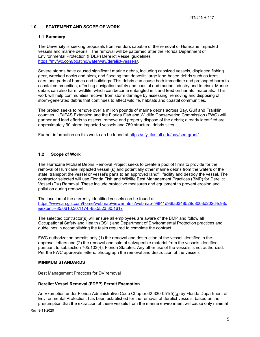## **1.0 STATEMENT AND SCOPE OF WORK**

#### **1.1 Summary**

The University is seeking proposals from vendors capable of the removal of Hurricane Impacted vessels and marine debris. The removal will be patterned after the Florida Department of Environmental Protection (FDEP) Derelict Vessel guidelines https://myfwc.com/boating/waterway/derelict-vessels/.

Severe storms have caused significant marine debris, including capsized vessels, displaced fishing gear, wrecked docks and piers, and flooding that deposits large land-based debris such as trees, cars, and parts of homes and buildings. This debris can cause both immediate and prolonged harm to coastal communities, affecting navigation safety and coastal and marine industry and tourism. Marine debris can also harm wildlife, which can become entangled in it and feed on harmful materials. This work will help communities recover from storm damage by assessing, removing and disposing of storm-generated debris that continues to affect wildlife, habitats and coastal communities.

The project seeks to remove over a million pounds of marine debris across Bay, Gulf and Franklin counties. UF/IFAS Extension and the Florida Fish and Wildlife Conservation Commission (FWC) will partner and lead efforts to assess, remove and properly dispose of the debris; already identified are approximately 90 storm-impacted vessels and 750 structural debris sites.

Further information on this work can be found at https://sfyl.ifas.ufl.edu/bay/sea-grant/

## **1.2 Scope of Work**

The Hurricane Michael Debris Removal Project seeks to create a pool of firms to provide for the removal of Hurricane impacted vessel (s) and potentially other marine debris from the waters of the state, transport the vessel or vessel's parts to an approved landfill facility and destroy the vessel. The contractor selected will use Florida Fish and Wildlife Best Management Practices (BMP) for Derelict Vessel (DV) Removal. These include protective measures and equipment to prevent erosion and pollution during removal.

The location of the currently identified vessels can be found at https://www.arcgis.com/home/webmap/viewer.html?webmap=98f41d96fa6348529d8003d202d4c98c &extent=-85.6616,30.1174,-85.5523,30.1617

The selected contractor(s) will ensure all employees are aware of the BMP and follow all Occupational Safety and Health (OSH) and Department of Environmental Protection practices and guidelines in accomplishing the tasks required to complete the contract.

FWC authorization permits only (1) the removal and destruction of the vessel identified in the approval letters and (2) the removal and sale of salvageable material from the vessels identified pursuant to subsection 705.103(4), Florida Statutes. Any other use of the vessels is not authorized. Per the FWC approvals letters: photograph the removal and destruction of the vessels.

#### **MINIMUM STANDARDS**

Best Management Practices for DV removal

#### **Derelict Vessel Removal (FDEP) Permit Exemption**

An Exemption under Florida Administrative Code Chapter 62-330-051(5)(g) by Florida Department of Environmental Protection, has been established for the removal of derelict vessels, based on the presumption that the extraction of these vessels from the marine environment will cause only minimal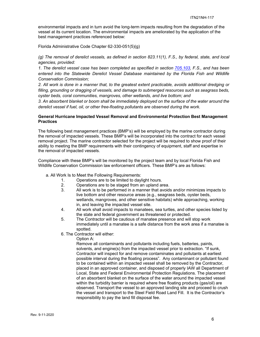environmental impacts and in turn avoid the long-term impacts resulting from the degradation of the vessel at its current location. The environmental impacts are ameliorated by the application of the best management practices referenced below:

Florida Administrative Code Chapter 62-330-051(5)(g)

*(g) The removal of derelict vessels, as defined in section 823.11(1), F.S., by federal, state, and local agencies, provided:* 

*1. The derelict vessel case has been completed as specified in section 705.103, F.S., and has been entered into the Statewide Derelict Vessel Database maintained by the Florida Fish and Wildlife Conservation Commission;* 

*2. All work is done in a manner that, to the greatest extent practicable, avoids additional dredging or filling, grounding or dragging of vessels, and damage to submerged resources such as seagrass beds, oyster beds, coral communities, mangroves, other wetlands, and live bottom; and* 

*3. An absorbent blanket or boom shall be immediately deployed on the surface of the water around the derelict vessel if fuel, oil, or other free-floating pollutants are observed during the work.* 

#### **General Hurricane Impacted Vessel Removal and Environmental Protection Best Management Practices**

The following best management practices (BMP's) will be employed by the marine contractor during the removal of impacted vessels. These BMP's will be incorporated into the contract for each vessel removal project. The marine contractor selected for the project will be required to show proof of their ability to meeting the BMP requirements with their contingency of equipment, staff and expertise in the removal of impacted vessels.

Compliance with these BMP's will be monitored by the project team and by local Florida Fish and Wildlife Conservation Commission law enforcement officers. These BMP's are as follows:

- a. All Work Is to Meet the Following Requirements:
	- 1. Operations are to be limited to daylight hours.<br>2. Operations are to be staged from an upland are
	- Operations are to be staged from an upland area.
	- 3. All work is to be performed in a manner that avoids and/or minimizes impacts to live bottom and other resource areas (e.g., seagrass beds, oyster beds, wetlands, mangroves, and other sensitive habitats) while approaching, working in, and leaving the impacted vessel site.
	- 4. All work shall avoid impacts to manatees, sea turtles, and other species listed by the state and federal government as threatened or protected.
	- 5. The Contractor will be cautious of manatee presence and will stop work immediately until a manatee is a safe distance from the work area if a manatee is spotted.
	- 6. The Contractor will either:

Option A:

Remove all contaminants and pollutants including fuels, batteries, paints, solvents, and engine(s) from the impacted vessel prior to extraction. "If sunk, Contractor will inspect for and remove contaminates and pollutants at earliest possible interval during the floating process". Any contaminant or pollutant found to be contained within an impacted vessel shall be removed by the Contractor, placed in an approved container, and disposed of properly IAW all Department of Local, State and Federal Environmental Protection Regulations. The placement of an absorbent blanket on the surface of the water around the impacted vessel within the turbidity barrier is required where free floating products (gas/oil) are observed. Transport the vessel to an approved landing site and proceed to crush the vessel and transport to the Steel Field Road Land Fill. It is the Contractor's responsibility to pay the land fill disposal fee.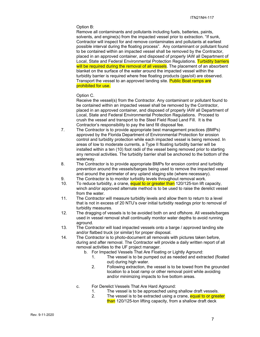#### Option B:

Remove all contaminants and pollutants including fuels, batteries, paints, solvents, and engine(s) from the impacted vessel prior to extraction. "If sunk, Contractor will inspect for and remove contaminates and pollutants at earliest possible interval during the floating process". Any contaminant or pollutant found to be contained within an impacted vessel shall be removed by the Contractor, placed in an approved container, and disposed of properly IAW all Department of Local, State and Federal Environmental Protection Regulations. Turbidity barriers will be required during the removal of all vessels. The placement of an absorbent blanket on the surface of the water around the impacted vessel within the turbidity barrier is required where free floating products (gas/oil) are observed. Transport the vessel to an approved landing site. Public Boat ramps are prohibited for use.

Option C.

Receive the vessel(s) from the Contractor. Any contaminant or pollutant found to be contained within an impacted vessel shall be removed by the Contractor, placed in an approved container, and disposed of properly IAW all Department of Local, State and Federal Environmental Protection Regulations. Proceed to crush the vessel and transport to the Steel Field Road Land Fill. It is the Contractor's responsibility to pay the land fill disposal fee.

- 7. The Contractor is to provide appropriate best management practices (BMPs) approved by the Florida Department of Environmental Protection for erosion control and turbidity protection while each impacted vessel is being removed. In areas of low to moderate currents, a Type II floating turbidity barrier will be installed within a ten (10) foot radii of the vessel being removed prior to starting any removal activities. The turbidity barrier shall be anchored to the bottom of the waterway.
- 8. The Contractor is to provide appropriate BMPs for erosion control and turbidity prevention around the vessels/barges being used to remove the impacted vessel and around the perimeter of any upland staging site (where necessary).
- 9. The Contractor is to monitor turbidity levels throughout removal work.
- 10. To reduce turbidity, a crane, equal to or greater than 120/125-ton lift capacity, winch and/or approved alternate method is to be used to raise the derelict vessel from the water.
- 11. The Contractor will measure turbidity levels and allow them to return to a level that is not in excess of 20 NTU's over initial turbidity readings prior to removal of turbidity measures.
- 12. The dragging of vessels is to be avoided both on and offshore. All vessels/barges used in vessel removal shall continually monitor water depths to avoid running aground.
- 13. The Contractor will load impacted vessels onto a barge / approved landing site and/or flatbed truck (or similar) for proper disposal.
- 14. The Contractor is to photo-document all removals with pictures taken before, during and after removal. The Contractor will provide a daily written report of all removal activities to the UF project manager.
	- b. For Impacted Vessels That Are Floating or Lightly Aground:
		- 1. The vessel is to be pumped out as needed and extracted (floated out) during high water.
		- 2. Following extraction, the vessel is to be towed from the grounded location to a boat ramp or other removal point while avoiding and/or minimizing impacts to live bottom areas.
	- c. For Derelict Vessels That Are Hard Aground:
		- 1. The vessel is to be approached using shallow draft vessels.
		- 2. The vessel is to be extracted using a crane, equal to or greater than 120/125-ton lifting capacity, from a shallow draft deck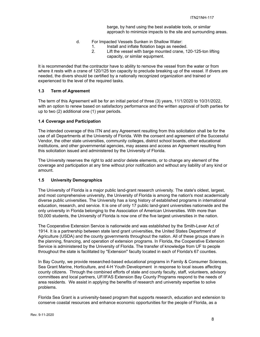barge, by hand using the best available tools, or similar approach to minimize impacts to the site and surrounding areas.

- d. For Impacted Vessels Sunken in Shallow Water:
	- 1. Install and inflate flotation bags as needed.<br>2. Lift the vessel with barge mounted crane. 1
	- Lift the vessel with barge mounted crane, 120-125-ton lifting capacity, or similar equipment.

It is recommended that the contractor have to ability to remove the vessel from the water or from where it rests with a crane of 120/125 ton capacity to preclude breaking up of the vessel. If divers are needed, the divers should be certified by a nationally recognized organization and trained or experienced to the level of the required tasks.

## **1.3 Term of Agreement**

The term of this Agreement will be for an initial period of three (3) years, 11/1/2020 to 10/31/2022, with an option to renew based on satisfactory performance and the written approval of both parties for up to two (2) additional one (1) year periods.

#### **1.4 Coverage and Participation**

The intended coverage of this ITN and any Agreement resulting from this solicitation shall be for the use of all Departments at the University of Florida. With the consent and agreement of the Successful Vendor, the other state universities, community colleges, district school boards, other educational institutions, and other governmental agencies, may assess and access an Agreement resulting from this solicitation issued and administered by the University of Florida.

The University reserves the right to add and/or delete elements, or to change any element of the coverage and participation at any time without prior notification and without any liability of any kind or amount.

## **1.5 University Demographics**

The University of Florida is a major public land-grant research university. The state's oldest, largest, and most comprehensive university, the University of Florida is among the nation's most academically diverse public universities. The University has a long history of established programs in international education, research, and service. It is one of only 17 public land-grant universities nationwide and the only university in Florida belonging to the Association of American Universities. With more than 50,000 students, the University of Florida is now one of the five largest universities in the nation.

The Cooperative Extension Service is nationwide and was established by the Smith-Lever Act of 1914. It is a partnership between state land grant universities, the United States Department of Agriculture (USDA) and the county governments throughout the nation. All of these groups share in the planning, financing, and operation of extension programs. In Florida, the Cooperative Extension Service is administered by the University of Florida. The transfer of knowledge from UF to people throughout the state is facilitated by "Extension" faculty located in each of Florida's 67 counties.

In Bay County, we provide researched-based educational programs in Family & Consumer Sciences, Sea Grant Marine, Horticulture, and 4-H Youth Development in response to local issues affecting county citizens. Through the combined efforts of state and county faculty, staff, volunteers, advisory committees and local partners, UF/IFAS Extension Bay County Programs respond to the needs of area residents. We assist in applying the benefits of research and university expertise to solve problems.

Florida Sea Grant is a university-based program that supports research, education and extension to conserve coastal resources and enhance economic opportunities for the people of Florida, as a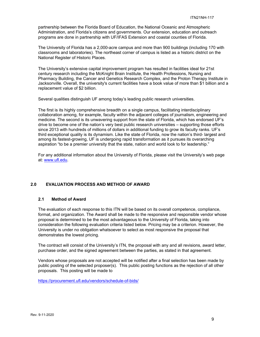partnership between the Florida Board of Education, the National Oceanic and Atmospheric Administration, and Florida's citizens and governments. Our extension, education and outreach programs are done in partnership with UF/IFAS Extension and coastal counties of Florida.

The University of Florida has a 2,000-acre campus and more than 900 buildings (including 170 with classrooms and laboratories). The northeast corner of campus is listed as a historic district on the National Register of Historic Places.

The University's extensive capital improvement program has resulted in facilities ideal for 21st century research including the McKnight Brain Institute, the Health Professions, Nursing and Pharmacy Building, the Cancer and Genetics Research Complex, and the Proton Therapy Institute in Jacksonville. Overall, the university's current facilities have a book value of more than \$1 billion and a replacement value of \$2 billion.

Several qualities distinguish UF among today's leading public research universities.

The first is its highly comprehensive breadth on a single campus, facilitating interdisciplinary collaboration among, for example, faculty within the adjacent colleges of journalism, engineering and medicine. The second is its unwavering support from the state of Florida, which has endorsed UF's drive to become one of the nation's very best public research universities – supporting those efforts since 2013 with hundreds of millions of dollars in additional funding to grow its faculty ranks. UF's third exceptional quality is its dynamism. Like the state of Florida, now the nation's third- largest and among its fastest-growing, UF is undergoing rapid transformation as it pursues its overarching aspiration "to be a premier university that the state, nation and world look to for leadership."

For any additional information about the University of Florida, please visit the University's web page at: www.ufl.edu.

## **2.0 EVALUATION PROCESS AND METHOD OF AWARD**

## **2.1 Method of Award**

The evaluation of each response to this ITN will be based on its overall competence, compliance, format, and organization. The Award shall be made to the responsive and responsible vendor whose proposal is determined to be the most advantageous to the University of Florida, taking into consideration the following evaluation criteria listed below. Pricing may be a criterion. However, the University is under no obligation whatsoever to select as most responsive the proposal that demonstrates the lowest pricing.

The contract will consist of the University's ITN, the proposal with any and all revisions, award letter, purchase order, and the signed agreement between the parties, as stated in that agreement.

Vendors whose proposals are not accepted will be notified after a final selection has been made by public posting of the selected proposer(s). This public posting functions as the rejection of all other proposals. This posting will be made to

https://procurement.ufl.edu/vendors/schedule-of-bids/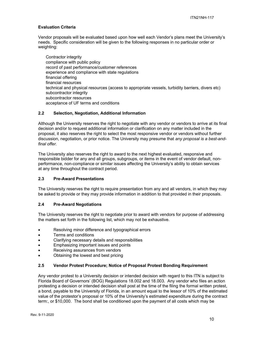## **Evaluation Criteria**

Vendor proposals will be evaluated based upon how well each Vendor's plans meet the University's needs. Specific consideration will be given to the following responses in no particular order or weighting:

Contractor integrity compliance with public policy record of past performance/customer references experience and compliance with state regulations financial offering financial resources technical and physical resources (access to appropriate vessels, turbidity barriers, divers etc) subcontractor integrity subcontractor resources acceptance of UF terms and conditions

## **2.2 Selection, Negotiation, Additional Information**

Although the University reserves the right to negotiate with any vendor or vendors to arrive at its final decision and/or to request additional information or clarification on any matter included in the proposal, it also reserves the right to select the most responsive vendor or vendors without further discussion, negotiation, or prior notice. The University may presume that *any proposal is a best-andfinal offer.* 

The University also reserves the right to award to the next highest evaluated, responsive and responsible bidder for any and all groups, subgroups, or items in the event of vendor default, nonperformance, non-compliance or similar issues affecting the University's ability to obtain services at any time throughout the contract period.

#### **2.3 Pre-Award Presentations**

The University reserves the right to require presentation from any and all vendors, in which they may be asked to provide or they may provide information in addition to that provided in their proposals.

#### **2.4 Pre-Award Negotiations**

The University reserves the right to negotiate prior to award with vendors for purpose of addressing the matters set forth in the following list, which may not be exhaustive.

- Resolving minor difference and typographical errors
- Terms and conditions
- Clarifying necessary details and responsibilities
- Emphasizing important issues and points
- Receiving assurances from vendors
- Obtaining the lowest and best pricing

#### **2.5 Vendor Protest Procedure; Notice of Proposal Protest Bonding Requirement**

Any vendor protest to a University decision or intended decision with regard to this ITN is subject to Florida Board of Governors' (BOG) Regulations 18.002 and 18.003. Any vendor who files an action protesting a decision or intended decision shall post at the time of the filing the formal written protest, a bond, payable to the University of Florida, in an amount equal to the lessor of 10% of the estimated value of the protestor's proposal or 10% of the University's estimated expenditure during the contract term:, or \$10,000. The bond shall be conditioned upon the payment of all costs which may be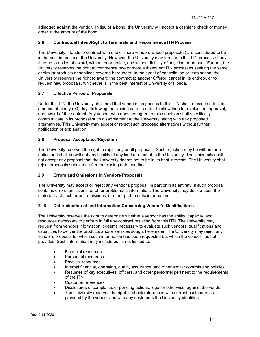adjudged against the vendor. In lieu of a bond, the University will accept a cashier's check or money order in the amount of the bond.

## **2.6 Contractual Intent/Right to Terminate and Recommence ITN Process**

The University intends to contract with one or more vendors whose proposal(s) are considered to be in the best interests of the University. However, the University may terminate this ITN process at any time up to notice of award, without prior notice, and without liability of any kind or amount. Further, the University reserves the right to commence one or more subsequent ITN processes seeking the same or similar products or services covered hereunder. In the event of cancellation or termination, the University reserves the right to award the contract to another Offeror, cancel in its entirety, or to request new proposals, whichever is in the best interest of University of Florida.

## **2.7 Effective Period of Proposals**

Under this ITN, the University shall hold that vendors' responses to this ITN shall remain in effect for a period of ninety (90) days following the closing date, in order to allow time for evaluation, approval, and award of the contract. Any vendor who does not agree to this condition shall specifically communicate in its proposal such disagreement to the University, along with any proposed alternatives. This University may accept or reject such proposed alternatives without further notification or explanation.

## **2.8 Proposal Acceptance/Rejection**

The University reserves the right to reject any or all proposals. Such rejection may be without prior notice and shall be without any liability of any kind or amount to the University. The University shall not accept any proposal that the University deems not to be in its best interests. The University shall reject proposals submitted after the closing date and time.

#### **2.9 Errors and Omissions in Vendors Proposals**

The University may accept or reject any vendor's proposal, in part or in its entirety, if such proposal contains errors, omissions, or other problematic information. The University may decide upon the materiality of such errors, omissions, or other problematic information.

## **2.10 Determination of and Information Concerning Vendor's Qualifications**

The University reserves the right to determine whether a vendor has the ability, capacity, and resources necessary to perform in full any contract resulting from this ITN. The University may request from vendors information it deems necessary to evaluate such vendors' qualifications and capacities to deliver the products and/or services sought hereunder. The University may reject any vendor's proposal for which such information has been requested but which the vendor has not provided. Such information may include but is not limited to:

- Financial resources
- Personnel resources
- Physical resources
- Internal financial, operating, quality assurance, and other similar controls and policies
- Resumes of key executives, officers, and other personnel pertinent to the requirements of the ITN
- Customer references
- Disclosures of complaints or pending actions, legal or otherwise, against the vendor
- The University reserves the right to check references with current customers as provided by the vendor and with any customers the University identifies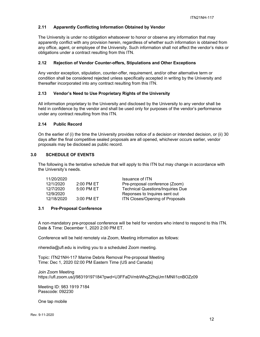## **2.11 Apparently Conflicting Information Obtained by Vendor**

The University is under no obligation whatsoever to honor or observe any information that may apparently conflict with any provision herein, regardless of whether such information is obtained from any office, agent, or employee of the University. Such information shall not affect the vendor's risks or obligations under a contract resulting from this ITN.

## **2.12 Rejection of Vendor Counter-offers, Stipulations and Other Exceptions**

Any vendor exception, stipulation, counter-offer, requirement, and/or other alternative term or condition shall be considered rejected unless specifically accepted in writing by the University and thereafter incorporated into any contract resulting from this ITN.

## **2.13 Vendor's Need to Use Proprietary Rights of the University**

All information proprietary to the University and disclosed by the University to any vendor shall be held in confidence by the vendor and shall be used only for purposes of the vendor's performance under any contract resulting from this ITN.

## **2.14 Public Record**

On the earlier of (i) the time the University provides notice of a decision or intended decision, or (ii) 30 days after the final competitive sealed proposals are all opened, whichever occurs earlier, vendor proposals may be disclosed as public record.

## **3.0 SCHEDULE OF EVENTS**

The following is the tentative schedule that will apply to this ITN but may change in accordance with the University's needs.

| 11/20/2020 |              | Issuance of ITN                          |
|------------|--------------|------------------------------------------|
| 12/1/2020  | 2:00 PM ET   | Pre-proposal conference (Zoom)           |
| 12/7/2020  | 5:00 PM ET   | <b>Technical Questions/Inquiries Due</b> |
| 12/9/2020  |              | Reponses to Inquires sent out            |
| 12/18/2020 | $3:00$ PM ET | ITN Closes/Opening of Proposals          |

## **3.1 Pre-Proposal Conference**

A non-mandatory pre-proposal conference will be held for vendors who intend to respond to this ITN. Date & Time: December 1, 2020 2:00 PM ET.

Conference will be held remotely via Zoom, Meeting information as follows:

nheredia@ufl.edu is inviting you to a scheduled Zoom meeting.

Topic: ITN21NH-117 Marine Debris Removal Pre-proposal Meeting Time: Dec 1, 2020 02:00 PM Eastern Time (US and Canada)

Join Zoom Meeting https://ufl.zoom.us/j/98319197184?pwd=U3FFaDVmbWhqZ2hqUm1MNlI1cnBOZz09

Meeting ID: 983 1919 7184 Passcode: 092230

One tap mobile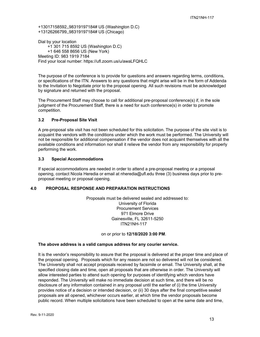+13017158592,,98319197184# US (Washington D.C) +13126266799,,98319197184# US (Chicago)

Dial by your location +1 301 715 8592 US (Washington D.C) +1 646 558 8656 US (New York) Meeting ID: 983 1919 7184 Find your local number: https://ufl.zoom.us/u/awaLFQHLC

The purpose of the conference is to provide for questions and answers regarding terms, conditions, or specifications of the ITN. Answers to any questions that might arise will be in the form of Addenda to the Invitation to Negotiate prior to the proposal opening. All such revisions must be acknowledged by signature and returned with the proposal.

The Procurement Staff may choose to call for additional pre-proposal conference(s) if, in the sole judgment of the Procurement Staff, there is a need for such conference(s) in order to promote competition.

## **3.2 Pre-Proposal Site Visit**

A pre-proposal site visit has not been scheduled for this solicitation. The purpose of the site visit is to acquaint the vendors with the conditions under which the work must be performed. The University will not be responsible for additional compensation if the vendor does not acquaint themselves with all the available conditions and information nor shall it relieve the vendor from any responsibility for properly performing the work.

## **3.3 Special Accommodations**

If special accommodations are needed in order to attend a pre-proposal meeting or a proposal opening, contact Nicola Heredia or email at nheredia@ufl.edu three (3) business days prior to preproposal meeting or proposal opening.

## **4.0 PROPOSAL RESPONSE AND PREPARATION INSTRUCTIONS**

Proposals must be delivered sealed and addressed to: University of Florida Procurement Services 971 Elmore Drive Gainesville, FL 32611-5250 ITN21NH-117

## on or prior to **12/18/2020 3:00 PM**.

## **The above address is a valid campus address for any courier service.**

It is the vendor's responsibility to assure that the proposal is delivered at the proper time and place of the proposal opening. Proposals which for any reason are not so delivered will not be considered. The University shall not accept proposals received by facsimile or email. The University shall, at the specified closing date and time, open all proposals that are otherwise in order. The University will allow interested parties to attend such opening for purposes of identifying which vendors have responded. The University will make no immediate decision at such time, and there will be no disclosure of any information contained in any proposal until the earlier of (i) the time University provides notice of a decision or intended decision, or (ii) 30 days after the final competitive sealed proposals are all opened, whichever occurs earlier, at which time the vendor proposals become public record. When multiple solicitations have been scheduled to open at the same date and time,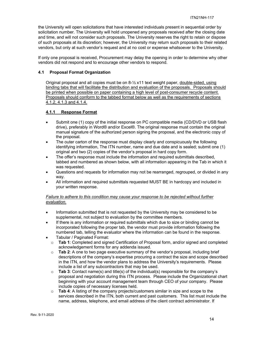the University will open solicitations that have interested individuals present in sequential order by solicitation number. The University will hold unopened any proposals received after the closing date and time, and will not consider such proposals. The University reserves the right to retain or dispose of such proposals at its discretion; however, the University may return such proposals to their related vendors, but only at such vendor's request and at no cost or expense whatsoever to the University.

If only one proposal is received, Procurement may delay the opening in order to determine why other vendors did not respond and to encourage other vendors to respond.

## **4.1 Proposal Format Organization**

Original proposal and all copies must be on 8-½ x11 text weight paper, double-sided, using binding tabs that will facilitate the distribution and evaluation of the proposals. Proposals should be printed when possible on paper containing a high level of post-consumer recycle content. Proposals should conform to the tabbed format below as well as the requirements of sections 4.1.2, 4.1.3 and 4.1.4.

## **4.1.1 Response Format**

- Submit one (1) copy of the initial response on PC compatible media (CD/DVD or USB flash drive), preferably in Word® and/or Excel®. The original response must contain the original manual signature of the authorized person signing the proposal, and the electronic copy of the proposal.
- The outer carton of the response must display clearly and conspicuously the following identifying information, The ITN number, name and due date and is sealed; submit one (1) original and two (2) copies of the vendor's proposal in hard copy form.
- The offer's response must include the information and required submittals described, tabbed and numbered as shown below, with all information appearing in the Tab in which it was requested.
- Questions and requests for information may not be rearranged, regrouped, or divided in any way.
- All information and required submittals requested MUST BE in hardcopy and included in your written response.

## *Failure to adhere to this condition may cause your response to be rejected without further evaluation.*

- Information submitted that is not requested by the University may be considered to be supplemental, not subject to evaluation by the committee members.
- If there is any information or required submittals which due to size or binding cannot be incorporated following the proper tab, the vendor must provide information following the numbered tab, telling the evaluator where the information can be found in the response.
- Tabular / Paginated Format:
- o **Tab 1**: Completed and signed Certification of Proposal form, and/or signed and completed acknowledgement forms for any addenda issued.
- o **Tab 2**: A one to two page executive summary of the vendor's proposal, including brief descriptions of the company's expertise procuring a contract the size and scope described in the ITN, and how the vendor plans to address the University's requirements. Please include a list of any subcontractors that may be used.
- o **Tab 3**: Contact name(s) and title(s) of the individual(s) responsible for the company's proposal and negotiation during this ITN process. Please include the Organizational chart beginning with your account management team through CEO of your company. Please include copies of necessary licenses held.
- o **Tab 4**: A listing of the company projects/customers similar in size and scope to the services described in the ITN, both current and past customers. This list must include the name, address, telephone, and email address of the client contract administrator. If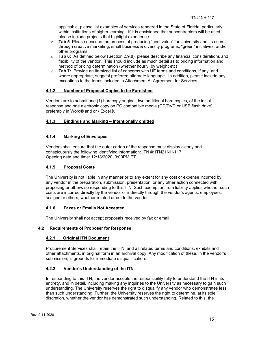applicable, please list examples of services rendered in the State of Florida, particularly within institutions of higher learning. If it is envisioned that subcontractors will be used, please include projects that highlight experience.

- o **Tab 5**: Please describe the process of producing "best value" for University and its users, through creative marketing, small business & diversity programs, "green" initiatives, and/or other programs.
- o **Tab 6:** As defined below (Section 2.9.8), please describe any financial considerations and flexibility of the vendor. This should include as much detail as to pricing information and method of pricing determination (whether hourly, by weight etc)
- o **Tab 7:** Provide an itemized list of concerns with UF terms and conditions, if any, and where appropriate, suggest preferred alternate language. In addition, please include any exceptions to the terms included in Attachment A: Agreement for Services.

## **4.1.2 Number of Proposal Copies to be Furnished**

Vendors are to submit one (1) hardcopy original, two additional hard copies, of the initial response and one electronic copy on PC compatible media (CD/DVD or USB flash drive), preferably in Word® and or / Excel®.

## **4.1.3 Bindings and Marking – Intentionally omitted**

## **4.1.4 Marking of Envelopes**

Vendors shall ensure that the outer carton of the response must display clearly and conspicuously the following identifying information: ITN #: ITN21NH-117 Opening date and time: 12/18/2020 3:00PM ET

#### **4.1.5 Proposal Costs**

The University is not liable in any manner or to any extent for any cost or expense incurred by any vendor in the preparation, submission, presentation, or any other action connected with proposing or otherwise responding to this ITN. Such exemption from liability applies whether such costs are incurred directly by the vendor or indirectly through the vendor's agents, employees, assigns or others, whether related or not to the vendor.

#### **4.1.6 Faxes or Emails Not Accepted**

The University shall not accept proposals received by fax or email.

#### **4.2 Requirements of Proposer for Response**

#### **4.2.1 Original ITN Document**

Procurement Services shall retain the ITN, and all related terms and conditions, exhibits and other attachments, in original form in an archival copy. Any modification of these, in the vendor's submission, is grounds for immediate disqualification.

#### **4.2.2 Vendor's Understanding of the ITN**

In responding to this ITN, the vendor accepts the responsibility fully to understand the ITN in its entirety, and in detail, including making any inquiries to the University as necessary to gain such understanding. The University reserves the right to disqualify any vendor who demonstrates less than such understanding. Further, the University reserves the right to determine, at its sole discretion, whether the vendor has demonstrated such understanding. Related to this, the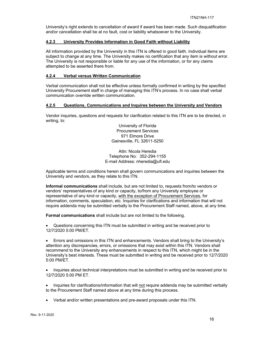University's right extends to cancellation of award if award has been made. Such disqualification and/or cancellation shall be at no fault, cost or liability whatsoever to the University.

#### **4.2.3 University Provides Information in Good Faith without Liability**

All information provided by the University in this ITN is offered in good faith. Individual items are subject to change at any time. The University makes no certification that any item is without error. The University is not responsible or liable for any use of the information, or for any claims attempted to be asserted there from.

## **4.2.4 Verbal versus Written Communication**

Verbal communication shall not be effective unless formally confirmed in writing by the specified University Procurement staff in charge of managing this ITN's process. In no case shall verbal communication override written communication.

## **4.2.5 Questions, Communications and Inquires between the University and Vendors**

Vendor inquiries, questions and requests for clarification related to this ITN are to be directed, in writing, to:

> University of Florida Procurement Services 971 Elmore Drive Gainesville, FL 32611-5250

Attn: Nicola Heredia Telephone No: 352-294-1155 E-mail Address: nheredia@ufl.edu

Applicable terms and conditions herein shall govern communications and inquiries between the University and vendors, as they relate to this ITN.

**Informal communications** shall include, but are not limited to, requests from/to vendors or vendors' representatives of any kind or capacity, to/from any University employee or representative of any kind or capacity, with the exception of Procurement Services, for information, comments, speculation, etc. Inquiries for clarifications and information that will not require addenda may be submitted verbally to the Procurement Staff named, above, at any time.

**Formal communications** shall include but are not limited to the following.

 Questions concerning this ITN must be submitted in writing and be received prior to 12/7/2020 5:00 PM/ET.

 Errors and omissions in this ITN and enhancements. Vendors shall bring to the University's attention any discrepancies, errors, or omissions that may exist within this ITN. Vendors shall recommend to the University any enhancements in respect to this ITN, which might be in the University's best interests. These must be submitted in writing and be received prior to 12/7/2020 5:00 PM/ET.

• Inquiries about technical interpretations must be submitted in writing and be received prior to 12/7/2020 5:00 PM ET.

• Inquiries for clarifications/information that will not require addenda may be submitted verbally to the Procurement Staff named above at any time during this process.

Verbal and/or written presentations and pre-award proposals under this ITN.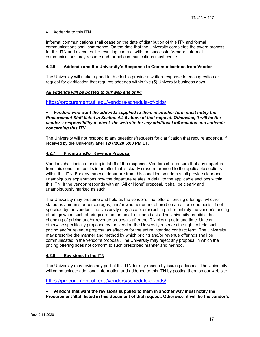Addenda to this ITN.

Informal communications shall cease on the date of distribution of this ITN and formal communications shall commence. On the date that the University completes the award process for this ITN and executes the resulting contract with the successful Vendor, informal communications may resume and formal communications must cease.

## **4.2.6 Addenda and the University's Response to Communications from Vendor**

The University will make a good-faith effort to provide a written response to each question or request for clarification that requires addenda within five (5) University business days.

## *All addenda will be posted to our web site only:*

https://procurement.ufl.edu/vendors/schedule-of-bids/

## *Vendors who want the addenda supplied to them in another form must notify the Procurement Staff listed in Section 4.2.5 above of that request. Otherwise, it will be the vendor's responsibility to check the web site for any additional information and addenda concerning this ITN.*

The University will not respond to any questions/requests for clarification that require addenda, if received by the University after **12/7/2020 5:00 PM ET**.

## **4.2.7 Pricing and/or Revenue Proposal**

Vendors shall indicate pricing in tab 6 of the response. Vendors shall ensure that any departure from this condition results in an offer that is clearly cross-referenced to the applicable sections within this ITN. For any material departure from this condition, vendors shall provide clear and unambiguous explanations how the departure relates in detail to the applicable sections within this ITN. If the vendor responds with an "All or None" proposal, it shall be clearly and unambiguously marked as such.

The University may presume and hold as the vendor's final offer all pricing offerings, whether stated as amounts or percentages, and/or whether or not offered on an all-or-none basis, if not specified by the vendor. The University may accept or reject in part or entirely the vendor's pricing offerings when such offerings are not on an all-or-none basis. The University prohibits the changing of pricing and/or revenue proposals after the ITN closing date and time. Unless otherwise specifically proposed by the vendor, the University reserves the right to hold such pricing and/or revenue proposal as effective for the entire intended contract term. The University may prescribe the manner and method by which pricing and/or revenue offerings shall be communicated in the vendor's proposal. The University may reject any proposal in which the pricing offering does not conform to such prescribed manner and method.

#### **4.2.8 Revisions to the ITN**

The University may revise any part of this ITN for any reason by issuing addenda. The University will communicate additional information and addenda to this ITN by posting them on our web site.

#### https://procurement.ufl.edu/vendors/schedule-of-bids/

 **Vendors that want the revisions supplied to them in another way must notify the Procurement Staff listed in this document of that request. Otherwise, it will be the vendor's**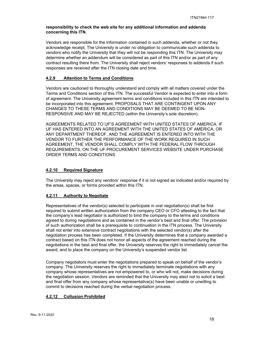## **responsibility to check the web site for any additional information and addenda concerning this ITN.**

Vendors are responsible for the information contained in such addenda, whether or not they acknowledge receipt. The University is under no obligation to communicate such addenda to vendors who notify the University that they will not be responding this ITN. The University may determine whether an addendum will be considered as part of this ITN and/or as part of any contract resulting there from. The University shall reject vendors' responses to addenda if such responses are received after the ITN closing date and time.

## **4.2.9 Attention to Terms and Conditions**

Vendors are cautioned to thoroughly understand and comply with all matters covered under the Terms and Conditions section of this ITN. The successful Vendor is expected to enter into a form of agreement. The University agreement terms and conditions included in this ITN are intended to be incorporated into this agreement. PROPOSALS THAT ARE CONTINGENT UPON ANY CHANGES TO THESE TERMS AND CONDITIONS MAY BE DEEMED TO BE NON-RESPONSIVE AND MAY BE REJECTED (within the University's sole discretion).

AGREEMENTS RELATED TO UF'S AGREEMENT WITH UNITED STATES OF AMERICA. IF UF HAS ENTERED INTO AN AGREEMENT WITH THE UNITED STATES OF AMERICA, OR ANY DEPARTMENT THEREOF, AND THE AGREEMENT IS ENTERED INTO WITH THE VENDOR TO FURTHER THE PERFORMANCE OF THE WORK REQUIRED IN SUCH AGREEMENT, THE VENDOR SHALL COMPLY WITH THE FEDERAL FLOW THROUGH REQUIREMENTS, ON THE UF PROCUREMENT SERVICES WEBSITE UNDER PURCHASE ORDER TERMS AND CONDITIONS

## **4.2.10 Required Signature**

The University may reject any vendors' response if it is not signed as indicated and/or required by the areas, spaces, or forms provided within this ITN.

## **4.2.11 Authority to Negotiate**

Representatives of the vendor(s) selected to participate in oral negotiation(s) shall be first required to submit written authorization from the company CEO or CFO attesting to the fact that the company's lead negotiator is authorized to bind the company to the terms and conditions agreed to during negotiations and as contained in the vendor's best and final offer. The provision of such authorization shall be a prerequisite to continuation in the ITN process. The University shall not enter into extensive contract negotiations with the selected vendor(s) after the negotiation process has been completed. If the University determines that a company awarded a contract based on this ITN does not honor all aspects of the agreement reached during the negotiations in the best and final offer, the University reserves the right to immediately cancel the award, and to place the company on the University's suspended vendor list.

Company negotiators must enter the negotiations prepared to speak on behalf of the vendor's company. The University reserves the right to immediately terminate negotiations with any company whose representatives are not empowered to, or who will not, make decisions during the negotiation session. Vendors are reminded that the University may elect not to solicit a best and final offer from any company whose representative(s) have been unable or unwilling to commit to decisions reached during the verbal negotiation process.

## **4.2.12 Collusion Prohibited**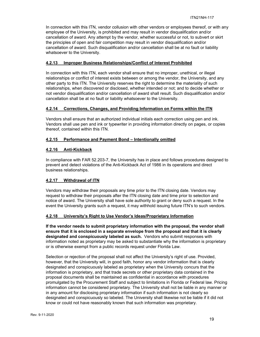In connection with this ITN, vendor collusion with other vendors or employees thereof, or with any employee of the University, is prohibited and may result in vendor disqualification and/or cancellation of award. Any attempt by the vendor, whether successful or not, to subvert or skirt the principles of open and fair competition may result in vendor disqualification and/or cancellation of award. Such disqualification and/or cancellation shall be at no fault or liability whatsoever to the University.

## **4.2.13 Improper Business Relationships/Conflict of Interest Prohibited**

In connection with this ITN, each vendor shall ensure that no improper, unethical, or illegal relationships or conflict of interest exists between or among the vendor, the University, and any other party to this ITN. The University reserves the right to determine the materiality of such relationships, when discovered or disclosed, whether intended or not; and to decide whether or not vendor disqualification and/or cancellation of award shall result. Such disqualification and/or cancellation shall be at no fault or liability whatsoever to the University.

## **4.2.14 Corrections, Changes, and Providing Information on Forms within the ITN**

Vendors shall ensure that an authorized individual initials each correction using pen and ink. Vendors shall use pen and ink or typewriter in providing information directly on pages, or copies thereof, contained within this ITN.

## **4.2.15 Performance and Payment Bond – Intentionally omitted**

## **4.2.16 Anti-Kickback**

In compliance with FAR 52.203-7, the University has in place and follows procedures designed to prevent and detect violations of the Anti-Kickback Act of 1986 in its operations and direct business relationships.

## **4.2.17 Withdrawal of ITN**

Vendors may withdraw their proposals any time prior to the ITN closing date. Vendors may request to withdraw their proposals after the ITN closing date and time prior to selection and notice of award. The University shall have sole authority to grant or deny such a request. In the event the University grants such a request, it may withhold issuing future ITN's to such vendors.

## **4.2.18 University's Right to Use Vendor's Ideas/Proprietary Information**

**If the vendor needs to submit proprietary information with the proposal, the vendor shall ensure that it is enclosed in a separate envelope from the proposal and that it is clearly designated and conspicuously labeled as such.** Vendors who submit responses with information noted as proprietary may be asked to substantiate why the information is proprietary or is otherwise exempt from a public records request under Florida Law.

Selection or rejection of the proposal shall not affect the University's right of use. Provided, however, that the University will, in good faith, honor any vendor information that is clearly designated and conspicuously labeled as proprietary when the University concurs that the information is proprietary, and that trade secrets or other proprietary data contained in the proposal documents shall be maintained as confidential in accordance with procedures promulgated by the Procurement Staff and subject to limitations in Florida or Federal law. Pricing information cannot be considered proprietary. The University shall not be liable in any manner or in any amount for disclosing proprietary information if such information is not clearly so designated and conspicuously so labeled. The University shall likewise not be liable if it did not know or could not have reasonably known that such information was proprietary.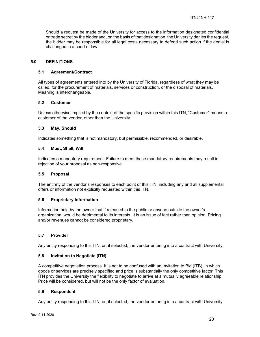Should a request be made of the University for access to the information designated confidential or trade secret by the bidder and, on the basis of that designation, the University denies the request, the bidder may be responsible for all legal costs necessary to defend such action if the denial is challenged in a court of law.

#### **5.0 DEFINITIONS**

#### **5.1 Agreement/Contract**

All types of agreements entered into by the University of Florida, regardless of what they may be called, for the procurement of materials, services or construction, or the disposal of materials. Meaning is interchangeable.

## **5.2 Customer**

Unless otherwise implied by the context of the specific provision within this ITN, "Customer" means a customer of the vendor, other than the University.

## **5.3 May, Should**

Indicates something that is not mandatory, but permissible, recommended, or desirable.

## **5.4 Must, Shall, Will**

Indicates a mandatory requirement. Failure to meet these mandatory requirements may result in rejection of your proposal as non-responsive.

#### **5.5 Proposal**

The entirety of the vendor's responses to each point of this ITN, including any and all supplemental offers or information not explicitly requested within this ITN.

#### **5.6 Proprietary Information**

Information held by the owner that if released to the public or anyone outside the owner's organization, would be detrimental to its interests. It is an issue of fact rather than opinion. Pricing and/or revenues cannot be considered proprietary.

#### **5.7 Provider**

Any entity responding to this ITN, or, if selected, the vendor entering into a contract with University.

#### **5.8 Invitation to Negotiate (ITN)**

A competitive negotiation process. It is not to be confused with an Invitation to Bid (ITB), in which goods or services are precisely specified and price is substantially the only competitive factor. This ITN provides the University the flexibility to negotiate to arrive at a mutually agreeable relationship. Price will be considered, but will not be the only factor of evaluation.

#### **5.9 Respondent**

Any entity responding to this ITN, or, if selected, the vendor entering into a contract with University.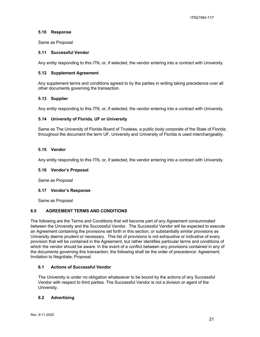## **5.10 Response**

Same as Proposal

#### **5.11 Successful Vendor**

Any entity responding to this ITN, or, if selected, the vendor entering into a contract with University.

#### **5.12 Supplement Agreement**

Any supplement terms and conditions agreed to by the parties in writing taking precedence over all other documents governing the transaction.

## **5.13 Supplier**

Any entity responding to this ITN, or, if selected, the vendor entering into a contract with University.

## **5.14 University of Florida, UF or University**

Same as The University of Florida Board of Trustees, a public body corporate of the State of Florida; throughout the document the term UF, University and University of Florida is used interchangeably.

## **5.15 Vendor**

Any entity responding to this ITN, or, if selected, the vendor entering into a contract with University.

#### **5.16 Vendor's Proposal**

Same as Proposal

#### **5.17 Vendor's Response**

Same as Proposal

#### **6.0 AGREEMENT TERMS AND CONDITIONS**

The following are the Terms and Conditions that will become part of any Agreement consummated between the University and the Successful Vendor. The Successful Vendor will be expected to execute an Agreement containing the provisions set forth in this section, or substantially similar provisions as University deems prudent or necessary. This list of provisions is not exhaustive or indicative of every provision that will be contained in the Agreement, but rather identifies particular terms and conditions of which the vendor should be aware. In the event of a conflict between any provisions contained in any of the documents governing this transaction, the following shall be the order of precedence: Agreement; Invitation to Negotiate; Proposal.

#### **6.1 Actions of Successful Vendor**

The University is under no obligation whatsoever to be bound by the actions of any Successful Vendor with respect to third parties. The Successful Vendor is not a division or agent of the University.

## **6.2 Advertising**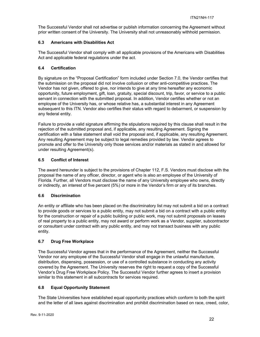The Successful Vendor shall not advertise or publish information concerning the Agreement without prior written consent of the University. The University shall not unreasonably withhold permission.

## **6.3 Americans with Disabilities Act**

The Successful Vendor shall comply with all applicable provisions of the Americans with Disabilities Act and applicable federal regulations under the act.

## **6.4 Certification**

By signature on the "Proposal Certification" form included under Section 7.0, the Vendor certifies that the submission on the proposal did not involve collusion or other anti-competitive practices. The Vendor has not given, offered to give, nor intends to give at any time hereafter any economic opportunity, future employment, gift, loan, gratuity, special discount, trip, favor, or service to a public servant in connection with the submitted proposal. In addition, Vendor certifies whether or not an employee of the University has, or whose relative has, a substantial interest in any Agreement subsequent to this ITN. Vendor also certifies their status with regard to debarment, or suspension by any federal entity.

Failure to provide a valid signature affirming the stipulations required by this clause shall result in the rejection of the submitted proposal and, if applicable, any resulting Agreement. Signing the certification with a false statement shall void the proposal and, if applicable, any resulting Agreement. Any resulting Agreement may be subject to legal remedies provided by law. Vendor agrees to promote and offer to the University only those services and/or materials as stated in and allowed for under resulting Agreement(s).

## **6.5 Conflict of Interest**

The award hereunder is subject to the provisions of Chapter 112, F.S. Vendors must disclose with the proposal the name of any officer, director, or agent who is also an employee of the University of Florida. Further, all Vendors must disclose the name of any University employee who owns, directly or indirectly, an interest of five percent (5%) or more in the Vendor's firm or any of its branches.

## **6.6 Discrimination**

An entity or affiliate who has been placed on the discriminatory list may not submit a bid on a contract to provide goods or services to a public entity, may not submit a bid on a contract with a public entity for the construction or repair of a public building or public work, may not submit proposals on leases of real property to a public entity, may not award or perform work as a Vendor, supplier, subcontractor or consultant under contract with any public entity, and may not transact business with any public entity.

## **6.7 Drug Free Workplace**

The Successful Vendor agrees that in the performance of the Agreement, neither the Successful Vendor nor any employee of the Successful Vendor shall engage in the unlawful manufacture, distribution, dispensing, possession, or use of a controlled substance in conducting any activity covered by the Agreement. The University reserves the right to request a copy of the Successful Vendor's Drug Free Workplace Policy. The Successful Vendor further agrees to insert a provision similar to this statement in all subcontracts for services required.

## **6.8 Equal Opportunity Statement**

The State Universities have established equal opportunity practices which conform to both the spirit and the letter of all laws against discrimination and prohibit discrimination based on race, creed, color,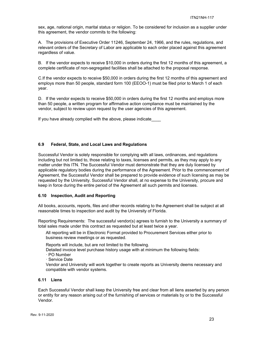sex, age, national origin, marital status or religion. To be considered for inclusion as a supplier under this agreement, the vendor commits to the following:

A. The provisions of Executive Order 11246, September 24, 1966, and the rules, regulations, and relevant orders of the Secretary of Labor are applicable to each order placed against this agreement regardless of value.

B. If the vendor expects to receive \$10,000 in orders during the first 12 months of this agreement, a complete certificate of non-segregated facilities shall be attached to the proposal response.

C.If the vendor expects to receive \$50,000 in orders during the first 12 months of this agreement and employs more than 50 people, standard form 100 (EEOO-1) must be filed prior to March 1 of each year.

D. If the vendor expects to receive \$50,000 in orders during the first 12 months and employs more than 50 people, a written program for affirmative action compliance must be maintained by the vendor, subject to review upon request by the user agencies of this agreement.

If you have already complied with the above, please indicate

## **6.9 Federal, State, and Local Laws and Regulations**

Successful Vendor is solely responsible for complying with all laws, ordinances, and regulations including but not limited to, those relating to taxes, licenses and permits, as they may apply to any matter under this ITN. The Successful Vendor must demonstrate that they are duly licensed by applicable regulatory bodies during the performance of the Agreement. Prior to the commencement of Agreement, the Successful Vendor shall be prepared to provide evidence of such licensing as may be requested by the University. Successful Vendor shall, at no expense to the University, procure and keep in force during the entire period of the Agreement all such permits and licenses.

## **6.10 Inspection, Audit and Reporting**

All books, accounts, reports, files and other records relating to the Agreement shall be subject at all reasonable times to inspection and audit by the University of Florida.

Reporting Requirements: The successful vendor(s) agrees to furnish to the University a summary of total sales made under this contract as requested but at least twice a year.

All reporting will be in Electronic Format provided to Procurement Services either prior to business review meetings or as requested.

Reports will include, but are not limited to the following.

Detailed invoice level purchase history usage with at minimum the following fields:

ꞏ PO Number

ꞏ Service Date

Vendor and University will work together to create reports as University deems necessary and compatible with vendor systems.

#### **6.11 Liens**

Each Successful Vendor shall keep the University free and clear from all liens asserted by any person or entity for any reason arising out of the furnishing of services or materials by or to the Successful Vendor.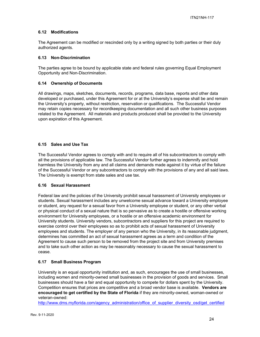## **6.12 Modifications**

The Agreement can be modified or rescinded only by a writing signed by both parties or their duly authorized agents.

#### **6.13 Non-Discrimination**

The parties agree to be bound by applicable state and federal rules governing Equal Employment Opportunity and Non-Discrimination.

## **6.14 Ownership of Documents**

All drawings, maps, sketches, documents, records, programs, data base, reports and other data developed or purchased, under this Agreement for or at the University's expense shall be and remain the University's property, without restriction, reservation or qualifications. The Successful Vendor may retain copies necessary for recordkeeping documentation and all such other business purposes related to the Agreement. All materials and products produced shall be provided to the University upon expiration of this Agreement.

## **6.15 Sales and Use Tax**

The Successful Vendor agrees to comply with and to require all of his subcontractors to comply with all the provisions of applicable law. The Successful Vendor further agrees to indemnify and hold harmless the University from any and all claims and demands made against it by virtue of the failure of the Successful Vendor or any subcontractors to comply with the provisions of any and all said laws. The University is exempt from state sales and use tax.

#### **6.16 Sexual Harassment**

Federal law and the policies of the University prohibit sexual harassment of University employees or students. Sexual harassment includes any unwelcome sexual advance toward a University employee or student, any request for a sexual favor from a University employee or student, or any other verbal or physical conduct of a sexual nature that is so pervasive as to create a hostile or offensive working environment for University employees, or a hostile or an offensive academic environment for University students. University vendors, subcontractors and suppliers for this project are required to exercise control over their employees so as to prohibit acts of sexual harassment of University employees and students. The employer of any person who the University, in its reasonable judgment, determines has committed an act of sexual harassment agrees as a term and condition of the Agreement to cause such person to be removed from the project site and from University premises and to take such other action as may be reasonably necessary to cause the sexual harassment to cease.

## **6.17 Small Business Program**

University is an equal opportunity institution and, as such, encourages the use of small businesses, including women and minority-owned small businesses in the provision of goods and services. Small businesses should have a fair and equal opportunity to compete for dollars spent by the University. Competition ensures that prices are competitive and a broad vendor base is available. **Vendors are encouraged to get certified by the State of Florida** if they are minority-owned, woman-owned or veteran-owned:

http://www.dms.myflorida.com/agency\_administration/office\_of\_supplier\_diversity\_osd/get\_certified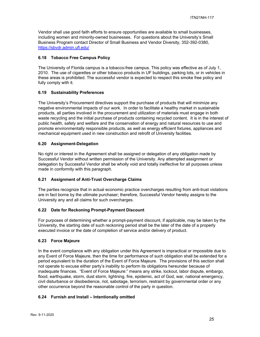Vendor shall use good faith efforts to ensure opportunities are available to small businesses, including women and minority-owned businesses. For questions about the University's Small Business Program contact Director of Small Business and Vendor Diversity, 352-392-0380, https://sbvdr.admin.ufl.edu/

## **6.18 Tobacco Free Campus Policy**

The University of Florida campus is a tobacco-free campus. This policy was effective as of July 1, 2010. The use of cigarettes or other tobacco products in UF buildings, parking lots, or in vehicles in these areas is prohibited. The successful vendor is expected to respect this smoke free policy and fully comply with it.

## **6.19 Sustainability Preferences**

The University's Procurement directives support the purchase of products that will minimize any negative environmental impacts of our work. In order to facilitate a healthy market in sustainable products, all parties involved in the procurement and utilization of materials must engage in both waste recycling and the initial purchase of products containing recycled content. It is in the interest of public health, safety and welfare and the conservation of energy and natural resources to use and promote environmentally responsible products, as well as energy efficient fixtures, appliances and mechanical equipment used in new construction and retrofit of University facilities.

## **6.20 Assignment-Delegation**

No right or interest in the Agreement shall be assigned or delegation of any obligation made by Successful Vendor without written permission of the University. Any attempted assignment or delegation by Successful Vendor shall be wholly void and totally ineffective for all purposes unless made in conformity with this paragraph.

## **6.21 Assignment of Anti-Trust Overcharge Claims**

The parties recognize that in actual economic practice overcharges resulting from anti-trust violations are in fact borne by the ultimate purchaser; therefore, Successful Vendor hereby assigns to the University any and all claims for such overcharges.

#### **6.22 Date for Reckoning Prompt-Payment Discount**

For purposes of determining whether a prompt-payment discount, if applicable, may be taken by the University, the starting date of such reckoning period shall be the later of the date of a properly executed invoice or the date of completion of service and/or delivery of product.

#### **6.23 Force Majeure**

In the event compliance with any obligation under this Agreement is impractical or impossible due to any Event of Force Majeure, then the time for performance of such obligation shall be extended for a period equivalent to the duration of the Event of Force Majeure. The provisions of this section shall not operate to excuse either party's inability to perform its obligations hereunder because of inadequate finances. "Event of Force Majeure:" means any strike, lockout, labor dispute, embargo, flood, earthquake, storm, dust storm, lightning, fire, epidemic, act of God, war, national emergency, civil disturbance or disobedience, riot, sabotage, terrorism, restraint by governmental order or any other occurrence beyond the reasonable control of the party in question.

#### **6.24 Furnish and Install – Intentionally omitted**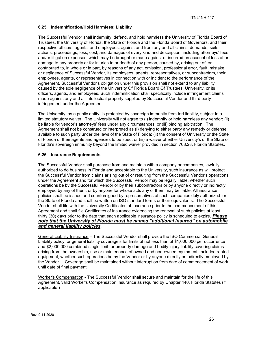## **6.25 Indemnification/Hold Harmless; Liability**

The Successful Vendor shall indemnify, defend, and hold harmless the University of Florida Board of Trustees, the University of Florida, the State of Florida and the Florida Board of Governors, and their respective officers, agents, and employees, against and from any and all claims, demands, suits, actions, proceedings, loss, cost, and damages of every kind and description, including attorneys' fees and/or litigation expenses, which may be brought or made against or incurred on account of loss of or damage to any property or for injuries to or death of any person, caused by, arising out of, or contributed to, in whole or in part, by reasons of any act, omission, professional error, fault, mistake, or negligence of Successful Vendor, its employees, agents, representatives, or subcontractors, their employees, agents, or representatives in connection with or incident to the performance of the Agreement. Successful Vendor's obligation under this provision shall not extend to any liability caused by the sole negligence of the University Of Florida Board Of Trustees, University, or its officers, agents, and employees. Such indemnification shall specifically include infringement claims made against any and all intellectual property supplied by Successful Vendor and third party infringement under the Agreement.

The University, as a public entity, is protected by sovereign immunity from tort liability, subject to a limited statutory waiver. The University will not agree to (i) indemnify or hold harmless any vendor; (ii) be liable for vendor's attorneys' fees under any circumstances; or (iii) binding arbitration. The Agreement shall not be construed or interpreted as (i) denying to either party any remedy or defense available to such party under the laws of the State of Florida; (ii) the consent of University or the State of Florida or their agents and agencies to be sued; or (iii) a waiver of either University's or the State of Florida's sovereign immunity beyond the limited waiver provided in section 768.28, Florida Statutes.

## **6.26 Insurance Requirements**

The Successful Vendor shall purchase from and maintain with a company or companies, lawfully authorized to do business in Florida and acceptable to the University, such insurance as will protect the Successful Vendor from claims arising out of or resulting from the Successful Vendor's operations under the Agreement and for which the Successful Vendor may be legally liable, whether such operations be by the Successful Vendor or by their subcontractors or by anyone directly or indirectly employed by any of them, or by anyone for whose acts any of them may be liable. All insurance policies shall be issued and countersigned by representatives of such companies duly authorized for the State of Florida and shall be written on ISO standard forms or their equivalents. The Successful Vendor shall file with the University Certificates of Insurance prior to the commencement of this Agreement and shall file Certificates of Insurance evidencing the renewal of such policies at least thirty (30) days prior to the date that each applicable insurance policy is scheduled to expire. *Please note that the University of Florida must be named "additional insured" on automobile and general liability policies.*

General Liability Insurance – The Successful Vendor shall provide the ISO Commercial General Liability policy for general liability coverage's for limits of not less than of \$1,000,000 per occurrence and \$2,000,000 combined single limit for property damage and bodily injury liability covering claims arising from the ownership, use or maintenance of owned and non-owned equipment, included rented equipment, whether such operations be by the Vendor or by anyone directly or indirectly employed by the Vendor. . Coverage shall be maintained without interruption from date of commencement of work until date of final payment.

Worker's Compensation - The Successful Vendor shall secure and maintain for the life of this Agreement, valid Worker's Compensation Insurance as required by Chapter 440, Florida Statutes (if applicable.)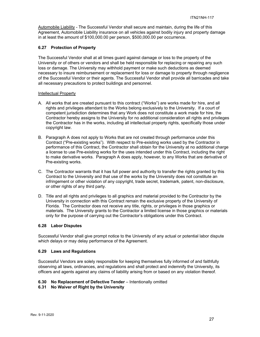Automobile Liability - The Successful Vendor shall secure and maintain, during the life of this Agreement, Automobile Liability insurance on all vehicles against bodily injury and property damage in at least the amount of \$100,000.00 per person, \$500,000.00 per occurrence.

#### **6.27 Protection of Property**

The Successful Vendor shall at all times guard against damage or loss to the property of the University or of others or vendors and shall be held responsible for replacing or repairing any such loss or damage. The University may withhold payment or make such deductions as deemed necessary to insure reimbursement or replacement for loss or damage to property through negligence of the Successful Vendor or their agents. The Successful Vendor shall provide all barricades and take all necessary precautions to protect buildings and personnel.

#### Intellectual Property

- A. All works that are created pursuant to this contract ("Works") are works made for hire, and all rights and privileges attendant to the Works belong exclusively to the University. If a court of competent jurisdiction determines that any Work does not constitute a work made for hire, the Contractor hereby assigns to the University for no additional consideration all rights and privileges the Contractor has in the works, including all intellectual property rights, specifically those under copyright law.
- B. Paragraph A does not apply to Works that are not created through performance under this Contract ("Pre-existing works"). With respect to Pre-existing works used by the Contractor in performance of this Contract, the Contractor shall obtain for the University at no additional charge a license to use Pre-existing works for the uses intended under this Contract, including the right to make derivative works. Paragraph A does apply, however, to any Works that are derivative of Pre-existing works.
- C. The Contractor warrants that it has full power and authority to transfer the rights granted by this Contract to the University and that use of the works by the University does not constitute an infringement or other violation of any copyright, trade secret, trademark, patent, non-disclosure, or other rights of any third party.
- D. Title and all rights and privileges to all graphics and material provided to the Contractor by the University in connection with this Contract remain the exclusive property of the University of Florida. The Contractor does not receive any title, rights, or privileges in those graphics or materials. The University grants to the Contractor a limited license in those graphics or materials only for the purpose of carrying out the Contractor's obligations under this Contract.

#### **6.28 Labor Disputes**

Successful Vendor shall give prompt notice to the University of any actual or potential labor dispute which delays or may delay performance of the Agreement.

#### **6.29 Laws and Regulations**

Successful Vendors are solely responsible for keeping themselves fully informed of and faithfully observing all laws, ordinances, and regulations and shall protect and indemnify the University, its officers and agents against any claims of liability arising from or based on any violation thereof.

## **6.30 No Replacement of Defective Tender** – Intentionally omitted

#### **6.31 No Waiver of Right by the University**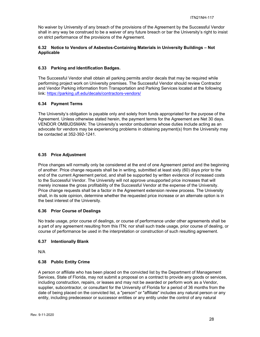No waiver by University of any breach of the provisions of the Agreement by the Successful Vendor shall in any way be construed to be a waiver of any future breach or bar the University's right to insist on strict performance of the provisions of the Agreement.

## **6.32 Notice to Vendors of Asbestos-Containing Materials in University Buildings – Not Applicable**

## **6.33 Parking and Identification Badges.**

The Successful Vendor shall obtain all parking permits and/or decals that may be required while performing project work on University premises. The Successful Vendor should review Contractor and Vendor Parking information from Transportation and Parking Services located at the following link: https://parking.ufl.edu/decals/contractors-vendors/

## **6.34 Payment Terms**

The University's obligation is payable only and solely from funds appropriated for the purpose of the Agreement. Unless otherwise stated herein, the payment terms for the Agreement are Net 30 days. VENDOR OMBUDSMAN: The University's vendor ombudsman whose duties include acting as an advocate for vendors may be experiencing problems in obtaining payment(s) from the University may be contacted at 352-392-1241.

## **6.35 Price Adjustment**

Price changes will normally only be considered at the end of one Agreement period and the beginning of another. Price change requests shall be in writing, submitted at least sixty (60) days prior to the end of the current Agreement period, and shall be supported by written evidence of increased costs to the Successful Vendor. The University will not approve unsupported price increases that will merely increase the gross profitability of the Successful Vendor at the expense of the University. Price change requests shall be a factor in the Agreement extension review process. The University shall, in its sole opinion, determine whether the requested price increase or an alternate option is in the best interest of the University.

## **6.36 Prior Course of Dealings**

No trade usage, prior course of dealings, or course of performance under other agreements shall be a part of any agreement resulting from this ITN; nor shall such trade usage, prior course of dealing, or course of performance be used in the interpretation or construction of such resulting agreement.

## **6.37 Intentionally Blank**

N/A

## **6.38 Public Entity Crime**

A person or affiliate who has been placed on the convicted list by the Department of Management Services, State of Florida, may not submit a proposal on a contract to provide any goods or services, including construction, repairs, or leases and may not be awarded or perform work as a Vendor, supplier, subcontractor, or consultant for the University of Florida for a period of 36 months from the date of being placed on the convicted list, a "person" or "affiliate" includes any natural person or any entity, including predecessor or successor entities or any entity under the control of any natural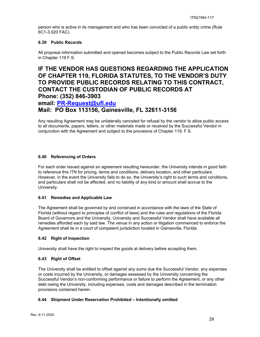person who is active in its management and who has been convicted of a public entity crime (Rule 6C1-3.020 FAC).

## **6.39 Public Records**

All proposal information submitted and opened becomes subject to the Public Records Law set forth in Chapter 119 F.S.

## **IF THE VENDOR HAS QUESTIONS REGARDING THE APPLICATION OF CHAPTER 119, FLORIDA STATUTES, TO THE VENDOR'S DUTY TO PROVIDE PUBLIC RECORDS RELATING TO THIS CONTRACT, CONTACT THE CUSTODIAN OF PUBLIC RECORDS AT Phone: (352) 846-3903**

## **email: PR-Request@ufl.edu**

## **Mail: PO Box 113156, Gainesville, FL 32611-3156**

Any resulting Agreement may be unilaterally canceled for refusal by the vendor to allow public access to all documents, papers, letters, or other materials made or received by the Successful Vendor in conjunction with the Agreement and subject to the provisions of Chapter 119. F.S.

## **6.40 Referencing of Orders**

For each order issued against an agreement resulting hereunder, the University intends in good faith to reference this ITN for pricing, terms and conditions, delivery location, and other particulars. However, in the event the University fails to do so, the University's right to such terms and conditions, and particulars shall not be affected, and no liability of any kind or amount shall accrue to the University.

## **6.41 Remedies and Applicable Law**

The Agreement shall be governed by and construed in accordance with the laws of the State of Florida (without regard to principles of conflict of laws) and the rules and regulations of the Florida Board of Governors and the University. University and Successful Vendor shall have available all remedies afforded each by said law. The venue in any action or litigation commenced to enforce the Agreement shall lie in a court of competent jurisdiction located in Gainesville, Florida.

## **6.42 Right of Inspection**

University shall have the right to inspect the goods at delivery before accepting them.

## **6.43 Right of Offset**

The University shall be entitled to offset against any sums due the Successful Vendor, any expenses or costs incurred by the University, or damages assessed by the University concerning the Successful Vendor's non-conforming performance or failure to perform the Agreement, or any other debt owing the University, including expenses, costs and damages described in the termination provisions contained herein.

## **6.44 Shipment Under Reservation Prohibited – Intentionally omitted**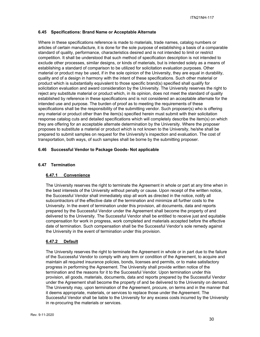## **6.45 Specifications: Brand Name or Acceptable Alternate**

Where in these specifications reference is made to materials, trade names, catalog numbers or articles of certain manufacture, it is done for the sole purpose of establishing a basis of a comparable standard of quality, performance, characteristics desired and is not intended to limit or restrict competition. It shall be understood that such method of specification description is not intended to exclude other processes, similar designs, or kinds of materials, but is intended solely as a means of establishing a standard of comparison to be utilized for solicitation evaluation purposes. Other material or product may be used, if in the sole opinion of the University, they are equal in durability, quality and of a design in harmony with the intent of these specifications. Such other material or product which is substantially equivalent to those specific brand(s) specified shall qualify for solicitation evaluation and award consideration by the University. The University reserves the right to reject any substitute material or product which, in its opinion, does not meet the standard of quality established by reference in these specifications and is not considered an acceptable alternate for the intended use and purpose. The burden of proof as to meeting the requirements of these specifications shall be the responsibility of the submitting vendor. Such proposer(s) who is offering any material or product other than the item(s) specified herein must submit with their solicitation response catalog cuts and detailed specifications which will completely describe the item(s) on which they are offering for an acceptable alternate determination by the University. Where the proposer proposes to substitute a material or product which is not known to the University, he/she shall be prepared to submit samples on request for the University's inspection and evaluation. The cost of transportation, both ways, of such samples shall be borne by the submitting proposer.

## **6.46 Successful Vendor to Package Goods- Not applicable**

## **6.47 Termination**

## **6.47.1 Convenience**

The University reserves the right to terminate the Agreement in whole or part at any time when in the best interests of the University without penalty or cause. Upon receipt of the written notice, the Successful Vendor shall immediately stop all work as directed in the notice, notify all subcontractors of the effective date of the termination and minimize all further costs to the University. In the event of termination under this provision, all documents, data and reports prepared by the Successful Vendor under the Agreement shall become the property of and delivered to the University. The Successful Vendor shall be entitled to receive just and equitable compensation for work in progress, work completed and materials accepted before the effective date of termination. Such compensation shall be the Successful Vendor's sole remedy against the University in the event of termination under this provision.

#### **6.47.2 Default**

The University reserves the right to terminate the Agreement in whole or in part due to the failure of the Successful Vendor to comply with any term or condition of the Agreement, to acquire and maintain all required insurance policies, bonds, licenses and permits, or to make satisfactory progress in performing the Agreement. The University shall provide written notice of the termination and the reasons for it to the Successful Vendor. Upon termination under this provision, all goods, materials, documents, data and reports prepared by the Successful Vendor under the Agreement shall become the property of and be delivered to the University on demand. The University may, upon termination of the Agreement, procure, on terms and in the manner that it deems appropriate, materials, or services to replace those under the Agreement. The Successful Vendor shall be liable to the University for any excess costs incurred by the University in re-procuring the materials or services.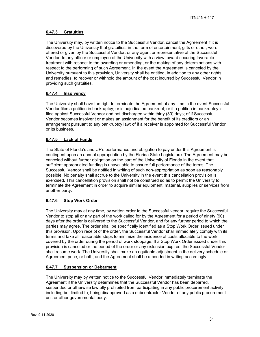## **6.47.3 Gratuities**

The University may, by written notice to the Successful Vendor, cancel the Agreement if it is discovered by the University that gratuities, in the form of entertainment, gifts or other, were offered or given by the Successful Vendor, or any agent or representative of the Successful Vendor, to any officer or employee of the University with a view toward securing favorable treatment with respect to the awarding or amending, or the making of any determinations with respect to the performing of such Agreement. In the event the Agreement is canceled by the University pursuant to this provision, University shall be entitled, in addition to any other rights and remedies, to recover or withhold the amount of the cost incurred by Successful Vendor in providing such gratuities.

## **6.47.4 Insolvency**

The University shall have the right to terminate the Agreement at any time in the event Successful Vendor files a petition in bankruptcy; or is adjudicated bankrupt; or if a petition in bankruptcy is filed against Successful Vendor and not discharged within thirty (30) days; of if Successful Vendor becomes insolvent or makes an assignment for the benefit of its creditors or an arrangement pursuant to any bankruptcy law; of if a receiver is appointed for Successful Vendor or its business.

## **6.47.5 Lack of Funds**

The State of Florida's and UF's performance and obligation to pay under this Agreement is contingent upon an annual appropriation by the Florida State Legislature. The Agreement may be canceled without further obligation on the part of the University of Florida in the event that sufficient appropriated funding is unavailable to assure full performance of the terms. The Successful Vendor shall be notified in writing of such non-appropriation as soon as reasonably possible. No penalty shall accrue to the University in the event this cancellation provision is exercised. This cancellation provision shall not be construed so as to permit the University to terminate the Agreement in order to acquire similar equipment, material, supplies or services from another party.

## **6.47.6 Stop Work Order**

The University may at any time, by written order to the Successful vendor, require the Successful Vendor to stop all or any part of the work called for by the Agreement for a period of ninety (90) days after the order is delivered to the Successful Vendor, and for any further period to which the parties may agree. The order shall be specifically identified as a Stop Work Order issued under this provision. Upon receipt of the order, the Successful Vendor shall immediately comply with its terms and take all reasonable steps to minimize the incidence of costs allocable to the work covered by the order during the period of work stoppage. If a Stop Work Order issued under this provision is canceled or the period of the order or any extension expires, the Successful Vendor shall resume work. The University shall make an equitable adjustment in the delivery schedule or Agreement price, or both, and the Agreement shall be amended in writing accordingly.

## **6.47.7 Suspension or Debarment**

The University may by written notice to the Successful Vendor immediately terminate the Agreement if the University determines that the Successful Vendor has been debarred, suspended or otherwise lawfully prohibited from participating in any public procurement activity, including but limited to, being disapproved as a subcontractor Vendor of any public procurement unit or other governmental body.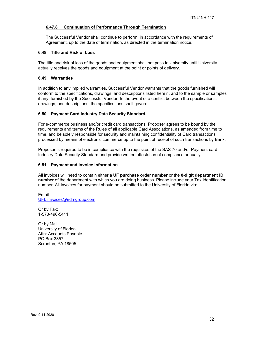## **6.47.8 Continuation of Performance Through Termination**

The Successful Vendor shall continue to perform, in accordance with the requirements of Agreement, up to the date of termination, as directed in the termination notice.

#### **6.48 Title and Risk of Loss**

The title and risk of loss of the goods and equipment shall not pass to University until University actually receives the goods and equipment at the point or points of delivery.

## **6.49 Warranties**

In addition to any implied warranties, Successful Vendor warrants that the goods furnished will conform to the specifications, drawings, and descriptions listed herein, and to the sample or samples if any, furnished by the Successful Vendor. In the event of a conflict between the specifications, drawings, and descriptions, the specifications shall govern.

#### **6.50 Payment Card Industry Data Security Standard.**

For e-commerce business and/or credit card transactions, Proposer agrees to be bound by the requirements and terms of the Rules of all applicable Card Associations, as amended from time to time, and be solely responsible for security and maintaining confidentiality of Card transactions processed by means of electronic commerce up to the point of receipt of such transactions by Bank.

Proposer is required to be in compliance with the requisites of the SAS 70 and/or Payment card Industry Data Security Standard and provide written attestation of compliance annually.

#### **6.51 Payment and Invoice Information**

All invoices will need to contain either a **UF purchase order number** or the **8-digit department ID number** of the department with which you are doing business. Please include your Tax Identification number. All invoices for payment should be submitted to the University of Florida via:

Email: UFL.invoices@edmgroup.com

Or by Fax: 1-570-496-5411

Or by Mail: University of Florida Attn: Accounts Payable PO Box 3357 Scranton, PA 18505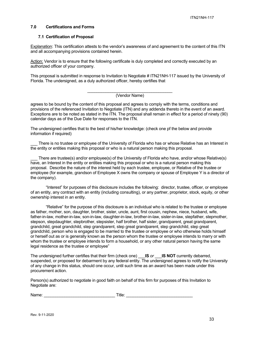#### **7.0 Certifications and Forms**

#### **7.1 Certification of Proposal**

Explanation: This certification attests to the vendor's awareness of and agreement to the content of this ITN and all accompanying provisions contained herein.

Action: Vendor is to ensure that the following certificate is duly completed and correctly executed by an authorized officer of your company.

This proposal is submitted in response to Invitation to Negotiate # ITN21NH-117 issued by the University of Florida. The undersigned, as a duly authorized officer, hereby certifies that

## (Vendor Name)

agrees to be bound by the content of this proposal and agrees to comply with the terms, conditions and provisions of the referenced Invitation to Negotiate (ITN) and any addenda thereto in the event of an award. Exceptions are to be noted as stated in the ITN. The proposal shall remain in effect for a period of ninety (90) calendar days as of the Due Date for responses to the ITN.

The undersigned certifies that to the best of his/her knowledge: (check one pf the below and provide information if required)

There is no trustee or employee of the University of Florida who has or whose Relative has an Interest in the entity or entities making this proposal or who is a natural person making this proposal.

There are trustee(s) and/or employee(s) of the University of Florida who have, and/or whose Relative(s) have, an Interest in the entity or entities making this proposal or who is a natural person making this proposal. Describe the nature of the interest held by each trustee, employee, or Relative of the trustee or employee (for example, grandson of Employee X owns the company or spouse of Employee Y is a director of the company).

"Interest" for purposes of this disclosure includes the following: director, trustee, officer, or employee of an entity, any contract with an entity (including consulting), or any partner, proprietor, stock, equity, or other ownership interest in an entity.

"Relative" for the purpose of this disclosure is an individual who is related to the trustee or employee as father, mother, son, daughter, brother, sister, uncle, aunt, first cousin, nephew, niece, husband, wife, father-in-law, mother-in-law, son-in-law, daughter-in-law, brother-in-law, sister-in-law, stepfather, stepmother, stepson, stepdaughter, stepbrother, stepsister, half brother, half sister, grandparent, great grandparent, grandchild, great grandchild, step grandparent, step great grandparent, step grandchild, step great grandchild, person who is engaged to be married to the trustee or employee or who otherwise holds himself or herself out as or is generally known as the person whom the trustee or employee intends to marry or with whom the trustee or employee intends to form a household, or any other natural person having the same legal residence as the trustee or employee"

The undersigned further certifies that their firm (check one) \_\_\_**IS** *or* \_\_\_**IS NOT** currently debarred, suspended, or proposed for debarment by any federal entity. The undersigned agrees to notify the University of any change in this status, should one occur, until such time as an award has been made under this procurement action.

Person(s) authorized to negotiate in good faith on behalf of this firm for purposes of this Invitation to Negotiate are:

Name: example and the set of  $\blacksquare$  Title:  $\blacksquare$